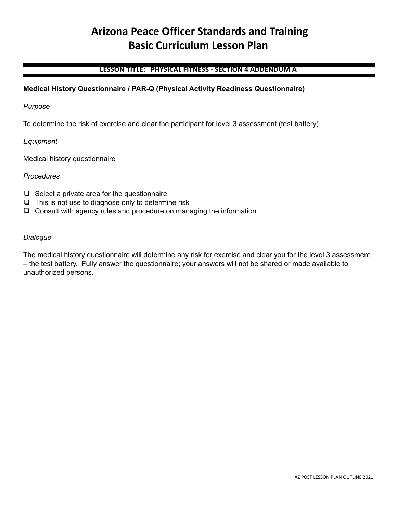# **Arizona Peace Officer Standards and Training Basic Curriculum Lesson Plan**

### **LESSON TITLE: PHYSICAL FITNESS - SECTION 4 ADDENDUM A**

#### **Medical History Questionnaire / PAR-Q (Physical Activity Readiness Questionnaire)**

*Purpose*

To determine the risk of exercise and clear the participant for level 3 assessment (test battery)

*Equipment*

Medical history questionnaire

#### *Procedures*

- ❑ Select a private area for the questionnaire
- ❑ This is not use to diagnose only to determine risk
- ❑ Consult with agency rules and procedure on managing the information

#### *Dialogue*

The medical history questionnaire will determine any risk for exercise and clear you for the level 3 assessment – the test battery. Fully answer the questionnaire; your answers will not be shared or made available to unauthorized persons.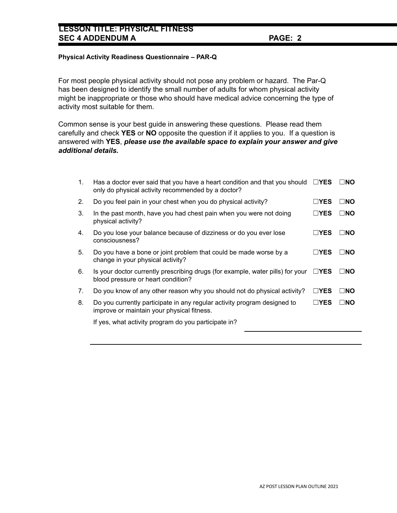## **LESSON TITLE: PHYSICAL FITNESS SEC 4 ADDENDUM A PAGE: 2**

#### **Physical Activity Readiness Questionnaire – PAR-Q**

For most people physical activity should not pose any problem or hazard. The Par-Q has been designed to identify the small number of adults for whom physical activity might be inappropriate or those who should have medical advice concerning the type of activity most suitable for them.

Common sense is your best guide in answering these questions. Please read them carefully and check **YES** or **NO** opposite the question if it applies to you. If a question is answered with **YES**, *please use the available space to explain your answer and give additional details.*

| 1. | Has a doctor ever said that you have a heart condition and that you should $\square$ <b>YES</b><br>only do physical activity recommended by a doctor? |               | $\Box$ NO    |
|----|-------------------------------------------------------------------------------------------------------------------------------------------------------|---------------|--------------|
| 2. | Do you feel pain in your chest when you do physical activity?                                                                                         | $\Box$ YES    | $\Box$ NO    |
| 3. | In the past month, have you had chest pain when you were not doing<br>physical activity?                                                              | $\Box$ YES    | $\Box$ NO    |
| 4. | Do you lose your balance because of dizziness or do you ever lose<br>consciousness?                                                                   | $\square$ YES | $\Box$ NO    |
| 5. | Do you have a bone or joint problem that could be made worse by a<br>change in your physical activity?                                                | $\square$ YES | $\square$ NO |
| 6. | Is your doctor currently prescribing drugs (for example, water pills) for your $\Box$ YES<br>blood pressure or heart condition?                       |               | ⊐NO          |
| 7. | Do you know of any other reason why you should not do physical activity?                                                                              | $\Box$ YES    | $\Box$ NO    |
| 8. | Do you currently participate in any regular activity program designed to<br>improve or maintain your physical fitness.                                | $\square$ YES | $\Box$ NO    |
|    | If yes, what activity program do you participate in?                                                                                                  |               |              |
|    |                                                                                                                                                       |               |              |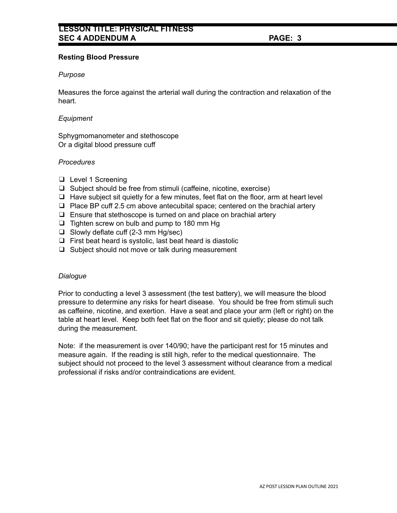#### **Resting Blood Pressure**

#### *Purpose*

Measures the force against the arterial wall during the contraction and relaxation of the heart.

#### *Equipment*

Sphygmomanometer and stethoscope Or a digital blood pressure cuff

#### *Procedures*

- ❑ Level 1 Screening
- ❑ Subject should be free from stimuli (caffeine, nicotine, exercise)
- $\Box$  Have subject sit quietly for a few minutes, feet flat on the floor, arm at heart level
- ❑ Place BP cuff 2.5 cm above antecubital space; centered on the brachial artery
- ❑ Ensure that stethoscope is turned on and place on brachial artery
- ❑ Tighten screw on bulb and pump to 180 mm Hg
- ❑ Slowly deflate cuff (2-3 mm Hg/sec)
- ❑ First beat heard is systolic, last beat heard is diastolic
- ❑ Subject should not move or talk during measurement

#### *Dialogue*

Prior to conducting a level 3 assessment (the test battery), we will measure the blood pressure to determine any risks for heart disease. You should be free from stimuli such as caffeine, nicotine, and exertion. Have a seat and place your arm (left or right) on the table at heart level. Keep both feet flat on the floor and sit quietly; please do not talk during the measurement.

Note: if the measurement is over 140/90; have the participant rest for 15 minutes and measure again. If the reading is still high, refer to the medical questionnaire. The subject should not proceed to the level 3 assessment without clearance from a medical professional if risks and/or contraindications are evident.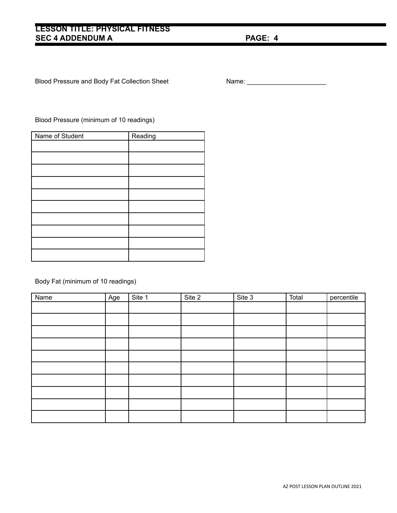# **LESSON TITLE: PHYSICAL FITNESS SEC 4 ADDENDUM A PAGE: 4**

Blood Pressure and Body Fat Collection Sheet Name: Name: Name: Name: Name: Name: Name: Name: Name: Name: Name: Name: Name: Name: Name: Name: Name: Name: Name: Name: Name: Name: Name: Name: Name: Name: Name: Name: Name: Nam

Blood Pressure (minimum of 10 readings)

| Name of Student | Reading |
|-----------------|---------|
|                 |         |
|                 |         |
|                 |         |
|                 |         |
|                 |         |
|                 |         |
|                 |         |
|                 |         |
|                 |         |
|                 |         |

Body Fat (minimum of 10 readings)

| Name | Age | Site 1 | Site 2 | Site 3 | Total | percentile |
|------|-----|--------|--------|--------|-------|------------|
|      |     |        |        |        |       |            |
|      |     |        |        |        |       |            |
|      |     |        |        |        |       |            |
|      |     |        |        |        |       |            |
|      |     |        |        |        |       |            |
|      |     |        |        |        |       |            |
|      |     |        |        |        |       |            |
|      |     |        |        |        |       |            |
|      |     |        |        |        |       |            |
|      |     |        |        |        |       |            |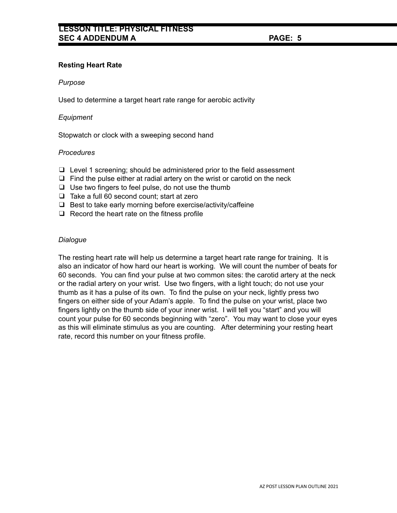#### **Resting Heart Rate**

#### *Purpose*

Used to determine a target heart rate range for aerobic activity

#### *Equipment*

Stopwatch or clock with a sweeping second hand

#### *Procedures*

- ❑ Level 1 screening; should be administered prior to the field assessment
- $\Box$  Find the pulse either at radial artery on the wrist or carotid on the neck
- ❑ Use two fingers to feel pulse, do not use the thumb
- ❑ Take a full 60 second count; start at zero
- ❑ Best to take early morning before exercise/activity/caffeine
- ❑ Record the heart rate on the fitness profile

#### *Dialogue*

The resting heart rate will help us determine a target heart rate range for training. It is also an indicator of how hard our heart is working. We will count the number of beats for 60 seconds. You can find your pulse at two common sites: the carotid artery at the neck or the radial artery on your wrist. Use two fingers, with a light touch; do not use your thumb as it has a pulse of its own. To find the pulse on your neck, lightly press two fingers on either side of your Adam's apple. To find the pulse on your wrist, place two fingers lightly on the thumb side of your inner wrist. I will tell you "start" and you will count your pulse for 60 seconds beginning with "zero". You may want to close your eyes as this will eliminate stimulus as you are counting. After determining your resting heart rate, record this number on your fitness profile.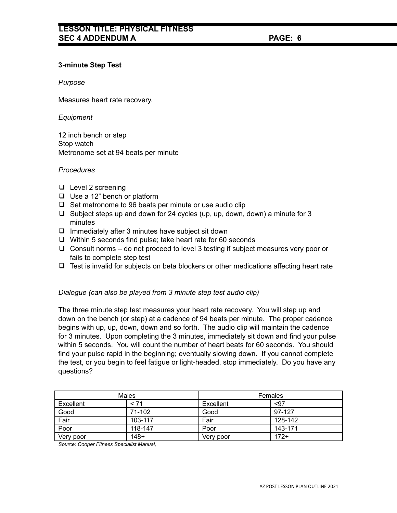#### **3-minute Step Test**

*Purpose*

Measures heart rate recovery.

*Equipment*

12 inch bench or step Stop watch Metronome set at 94 beats per minute

#### *Procedures*

- ❑ Level 2 screening
- ❑ Use a 12" bench or platform
- ❑ Set metronome to 96 beats per minute or use audio clip
- ❑ Subject steps up and down for 24 cycles (up, up, down, down) a minute for 3 minutes
- ❑ Immediately after 3 minutes have subject sit down
- ❑ Within 5 seconds find pulse; take heart rate for 60 seconds
- ❑ Consult norms do not proceed to level 3 testing if subject measures very poor or fails to complete step test
- ❑ Test is invalid for subjects on beta blockers or other medications affecting heart rate

#### *Dialogue (can also be played from 3 minute step test audio clip)*

The three minute step test measures your heart rate recovery. You will step up and down on the bench (or step) at a cadence of 94 beats per minute. The proper cadence begins with up, up, down, down and so forth. The audio clip will maintain the cadence for 3 minutes. Upon completing the 3 minutes, immediately sit down and find your pulse within 5 seconds. You will count the number of heart beats for 60 seconds. You should find your pulse rapid in the beginning; eventually slowing down. If you cannot complete the test, or you begin to feel fatigue or light-headed, stop immediately. Do you have any questions?

|           | <b>Males</b> | Females   |         |  |
|-----------|--------------|-----------|---------|--|
| Excellent | < 71         | Excellent | $97$    |  |
| Good      | 71-102       | Good      | 97-127  |  |
| Fair      | 103-117      | Fair      | 128-142 |  |
| Poor      | 118-147      | Poor      | 143-171 |  |
| Very poor | $148+$       | Very poor | $172+$  |  |

*Source: Cooper Fitness Specialist Manual,*